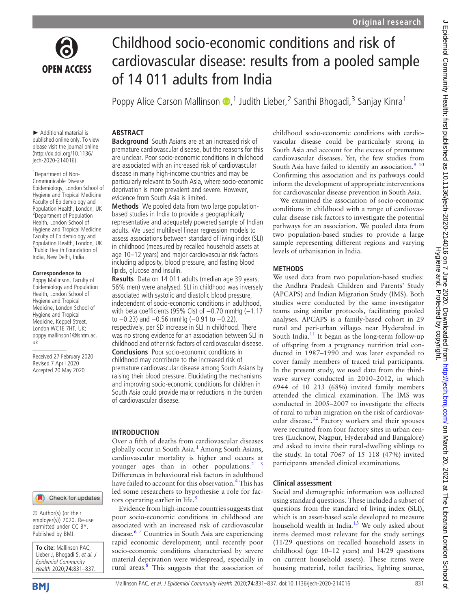

Childhood socio-economic conditions and risk of cardiovascular disease: results from a pooled sample of 14 011 adults from India

Poppy Alice Carson Mallinson D,<sup>1</sup> Judith Lieber,<sup>2</sup> Santhi Bhogadi,<sup>3</sup> Sanjay Kinra<sup>1</sup>

► Additional material is published online only. To view please visit the journal online ([http://dx.doi.org/10.1136/](http://dx.doi.org/10.1136/jech-2020-214016) [jech-2020-214016](http://dx.doi.org/10.1136/jech-2020-214016)).

1 Department of Non-Communicable Disease Epidemiology, London School of Hygiene and Tropical Medicine Faculty of Epidemiology and Population Health, London, UK <sup>2</sup> Department of Population Health, London School of Hygiene and Tropical Medicine Faculty of Epidemiology and Population Health, London, UK <sup>3</sup>Public Health Foundation of India, New Delhi, India

#### Correspondence to

Poppy Mallinson, Faculty of Epidemiology and Population Health, London School of Hygiene and Tropical Medicine, London School of Hygiene and Tropical Medicine, Keppel Street, London WC1E 7HT, UK; [poppy.mallinson1@lshtm.ac.](mailto:poppy.mallinson1@lshtm.ac.uk) [uk](mailto:poppy.mallinson1@lshtm.ac.uk)

Received 27 February 2020 Revised 7 April 2020 Accepted 20 May 2020



© Author(s) (or their employer(s)) 2020. Re-use permitted under CC BY. Published by BMJ.

To cite: Mallinson PAC, Lieber J, Bhogadi S, et al. J Epidemiol Community Health 2020;74:831-837



# **ABSTRACT**

Background South Asians are at an increased risk of premature cardiovascular disease, but the reasons for this are unclear. Poor socio-economic conditions in childhood are associated with an increased risk of cardiovascular disease in many high-income countries and may be particularly relevant to South Asia, where socio-economic deprivation is more prevalent and severe. However, evidence from South Asia is limited.

Methods We pooled data from two large populationbased studies in India to provide a geographically representative and adequately powered sample of Indian adults. We used multilevel linear regression models to assess associations between standard of living index (SLI) in childhood (measured by recalled household assets at age 10–12 years) and major cardiovascular risk factors including adiposity, blood pressure, and fasting blood lipids, glucose and insulin.

Results Data on 14 011 adults (median age 39 years, 56% men) were analysed. SLI in childhood was inversely associated with systolic and diastolic blood pressure, independent of socio-economic conditions in adulthood, with beta coefficients (95% CIs) of -0.70 mmHg (-1.17 to −0.23) and −0.56 mmHg (−0.91 to −0.22), respectively, per SD increase in SLI in childhood. There was no strong evidence for an association between SLI in childhood and other risk factors of cardiovascular disease. Conclusions Poor socio-economic conditions in childhood may contribute to the increased risk of premature cardiovascular disease among South Asians by raising their blood pressure. Elucidating the mechanisms and improving socio-economic conditions for children in South Asia could provide major reductions in the burden of cardiovascular disease.

## INTRODUCTION

Over a fifth of deaths from cardiovascular diseases globally occur in South Asia.<sup>[1](#page-5-0)</sup> Among South Asians, cardiovascular mortality is higher and occurs at younger ages than in other populations. $2<sup>3</sup>$ Differences in behavioural risk factors in adulthood have failed to account for this observation.<sup>[4](#page-5-2)</sup> This has led some researchers to hypothesise a role for fac-tors operating earlier in life.<sup>[5](#page-5-3)</sup>

Evidence from high-income countries suggests that poor socio-economic conditions in childhood are associated with an increased risk of cardiovascular disease.<sup>[6 7](#page-5-4)</sup> Countries in South Asia are experiencing rapid economic development; until recently poor socio-economic conditions characterised by severe material deprivation were widespread, especially in rural areas. $\frac{8}{3}$  This suggests that the association of childhood socio-economic conditions with cardiovascular disease could be particularly strong in South Asia and account for the excess of premature cardiovascular diseases. Yet, the few studies from South Asia have failed to identify an association.<sup>9</sup> <sup>10</sup> Confirming this association and its pathways could inform the development of appropriate interventions for cardiovascular disease prevention in South Asia.

We examined the association of socio-economic conditions in childhood with a range of cardiovascular disease risk factors to investigate the potential pathways for an association. We pooled data from two population-based studies to provide a large sample representing different regions and varying levels of urbanisation in India.

#### **METHODS**

We used data from two population-based studies: the Andhra Pradesh Children and Parents' Study (APCAPS) and Indian Migration Study (IMS). Both studies were conducted by the same investigator teams using similar protocols, facilitating pooled analyses. APCAPS is a family-based cohort in 29 rural and peri-urban villages near Hyderabad in South India.<sup>[11](#page-5-7)</sup> It began as the long-term follow-up of offspring from a pregnancy nutrition trial conducted in 1987–1990 and was later expanded to cover family members of traced trial participants. In the present study, we used data from the thirdwave survey conducted in 2010–2012, in which 6944 of 10 213 (68%) invited family members attended the clinical examination. The IMS was conducted in 2005–2007 to investigate the effects of rural to urban migration on the risk of cardiovas-cular disease.<sup>[12](#page-5-8)</sup> Factory workers and their spouses were recruited from four factory sites in urban centres (Lucknow, Nagpur, Hyderabad and Bangalore) and asked to invite their rural-dwelling siblings to the study. In total 7067 of 15 118 (47%) invited participants attended clinical examinations.

## Clinical assessment

Social and demographic information was collected using standard questions. These included a subset of questions from the standard of living index (SLI), which is an asset-based scale developed to measure household wealth in India.<sup>[13](#page-5-9)</sup> We only asked about items deemed most relevant for the study settings (11/29 questions on recalled household assets in childhood (age 10–12 years) and 14/29 questions on current household assets). These items were housing material, toilet facilities, lighting source,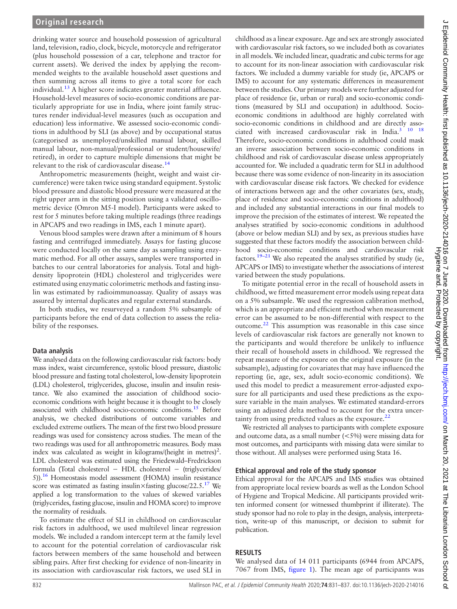drinking water source and household possession of agricultural land, television, radio, clock, bicycle, motorcycle and refrigerator (plus household possession of a car, telephone and tractor for current assets). We derived the index by applying the recommended weights to the available household asset questions and then summing across all items to give a total score for each individual. $13$  A higher score indicates greater material affluence. Household-level measures of socio-economic conditions are particularly appropriate for use in India, where joint family structures render individual-level measures (such as occupation and education) less informative. We assessed socio-economic conditions in adulthood by SLI (as above) and by occupational status (categorised as unemployed/unskilled manual labour, skilled manual labour, non-manual/professional or student/housewife/ retired), in order to capture multiple dimensions that might be relevant to the risk of cardiovascular disease.[14](#page-5-10)

Anthropometric measurements (height, weight and waist circumference) were taken twice using standard equipment. Systolic blood pressure and diastolic blood pressure were measured at the right upper arm in the sitting position using a validated oscillometric device (Omron M5-I model). Participants were asked to rest for 5 minutes before taking multiple readings (three readings in APCAPS and two readings in IMS, each 1 minute apart).

Venous blood samples were drawn after a minimum of 8 hours fasting and centrifuged immediately. Assays for fasting glucose were conducted locally on the same day as sampling using enzymatic method. For all other assays, samples were transported in batches to our central laboratories for analysis. Total and highdensity lipoprotein (HDL) cholesterol and triglycerides were estimated using enzymatic colorimetric methods and fasting insulin was estimated by radioimmunoassay. Quality of assays was assured by internal duplicates and regular external standards.

In both studies, we resurveyed a random 5% subsample of participants before the end of data collection to assess the reliability of the responses.

## Data analysis

We analysed data on the following cardiovascular risk factors: body mass index, waist circumference, systolic blood pressure, diastolic blood pressure and fasting total cholesterol, low-density lipoprotein (LDL) cholesterol, triglycerides, glucose, insulin and insulin resistance. We also examined the association of childhood socioeconomic conditions with height because it is thought to be closely associated with childhood socio-economic conditions.<sup>[15](#page-5-11)</sup> Before analysis, we checked distributions of outcome variables and excluded extreme outliers. The mean of the first two blood pressure readings was used for consistency across studies. The mean of the two readings was used for all anthropometric measures. Body mass index was calculated as weight in kilograms/(height in metres)<sup>2</sup>. LDL cholesterol was estimated using the Friedewald–Fredrickson formula (Total cholesterol − HDL cholesterol − (triglycerides/ 5))[.16](#page-5-12) Homeostasis model assessment (HOMA) insulin resistance score was estimated as fasting insulin $\times$  fasting glucose/22.5.<sup>17</sup> We applied a log transformation to the values of skewed variables (triglycerides, fasting glucose, insulin and HOMA score) to improve the normality of residuals.

To estimate the effect of SLI in childhood on cardiovascular risk factors in adulthood, we used multilevel linear regression models. We included a random intercept term at the family level to account for the potential correlation of cardiovascular risk factors between members of the same household and between sibling pairs. After first checking for evidence of non-linearity in its association with cardiovascular risk factors, we used SLI in

childhood as a linear exposure. Age and sex are strongly associated with cardiovascular risk factors, so we included both as covariates in all models. We included linear, quadratic and cubic terms for age to account for its non-linear association with cardiovascular risk factors. We included a dummy variable for study (ie, APCAPS or IMS) to account for any systematic differences in measurement between the studies. Our primary models were further adjusted for place of residence (ie, urban or rural) and socio-economic conditions (measured by SLI and occupation) in adulthood. Socioeconomic conditions in adulthood are highly correlated with socio-economic conditions in childhood and are directly associated with increased cardiovascular risk in India.<sup>3 10</sup> <sup>18</sup> Therefore, socio-economic conditions in adulthood could mask an inverse association between socio-economic conditions in childhood and risk of cardiovascular disease unless appropriately accounted for. We included a quadratic term for SLI in adulthood because there was some evidence of non-linearity in its association with cardiovascular disease risk factors. We checked for evidence of interactions between age and the other covariates (sex, study, place of residence and socio-economic conditions in adulthood) and included any substantial interactions in our final models to improve the precision of the estimates of interest. We repeated the analyses stratified by socio-economic conditions in adulthood (above or below median SLI) and by sex, as previous studies have suggested that these factors modify the association between childhood socio-economic conditions and cardiovascular risk factors.<sup>19–[21](#page-5-15)</sup> We also repeated the analyses stratified by study (ie, APCAPS or IMS) to investigate whether the associations of interest varied between the study populations.

To mitigate potential error in the recall of household assets in childhood, we fitted measurement error models using repeat data on a 5% subsample. We used the regression calibration method, which is an appropriate and efficient method when measurement error can be assumed to be non-differential with respect to the outcome.[22](#page-5-16) This assumption was reasonable in this case since levels of cardiovascular risk factors are generally not known to the participants and would therefore be unlikely to influence their recall of household assets in childhood. We regressed the repeat measure of the exposure on the original exposure (in the subsample), adjusting for covariates that may have influenced the reporting (ie, age, sex, adult socio-economic conditions). We used this model to predict a measurement error-adjusted exposure for all participants and used these predictions as the exposure variable in the main analyses. We estimated standard-errors using an adjusted delta method to account for the extra uncertainty from using predicted values as the exposure. $^{22}$  $^{22}$  $^{22}$ 

We restricted all analyses to participants with complete exposure and outcome data, as a small number (<5%) were missing data for most outcomes, and participants with missing data were similar to those without. All analyses were performed using Stata 16.

#### Ethical approval and role of the study sponsor

Ethical approval for the APCAPS and IMS studies was obtained from appropriate local review boards as well as the London School of Hygiene and Tropical Medicine. All participants provided written informed consent (or witnessed thumbprint if illiterate). The study sponsor had no role to play in the design, analysis, interpretation, write-up of this manuscript, or decision to submit for publication.

## RESULTS

We analysed data of 14 011 participants (6944 from APCAPS, 7067 from IMS, [figure 1\)](#page-2-0). The mean age of participants was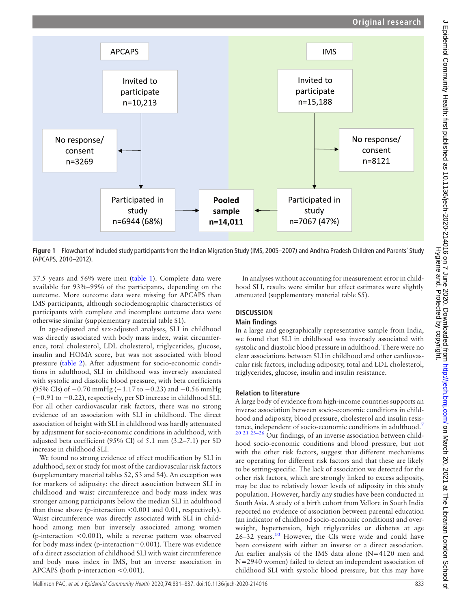<span id="page-2-0"></span>

Figure 1 Flowchart of included study participants from the Indian Migration Study (IMS, 2005–2007) and Andhra Pradesh Children and Parents' Study (APCAPS, 2010–2012).

37.5 years and 56% were men [\(table 1](#page-3-0)). Complete data were available for 93%–99% of the participants, depending on the outcome. More outcome data were missing for APCAPS than IMS participants, although sociodemographic characteristics of participants with complete and incomplete outcome data were otherwise similar ([supplementary material table S1\)](https://dx.doi.org/10.1136/jech-2020-214016).

In age-adjusted and sex-adjusted analyses, SLI in childhood was directly associated with body mass index, waist circumference, total cholesterol, LDL cholesterol, triglycerides, glucose, insulin and HOMA score, but was not associated with blood pressure ([table 2\)](#page-4-0). After adjustment for socio-economic conditions in adulthood, SLI in childhood was inversely associated with systolic and diastolic blood pressure, with beta coefficients (95% CIs) of −0.70 mmHg (−1.17 to −0.23) and −0.56 mmHg (−0.91 to −0.22), respectively, per SD increase in childhood SLI. For all other cardiovascular risk factors, there was no strong evidence of an association with SLI in childhood. The direct association of height with SLI in childhood was hardly attenuated by adjustment for socio-economic conditions in adulthood, with adjusted beta coefficient (95% CI) of 5.1 mm (3.2–7.1) per SD increase in childhood SLI.

We found no strong evidence of effect modification by SLI in adulthood, sex or study for most of the cardiovascular risk factors ([supplementary material tables S2, S3](https://dx.doi.org/10.1136/jech-2020-214016) and [S4\)](https://dx.doi.org/10.1136/jech-2020-214016). An exception was for markers of adiposity: the direct association between SLI in childhood and waist circumference and body mass index was stronger among participants below the median SLI in adulthood than those above (p-interaction <0.001 and 0.01, respectively). Waist circumference was directly associated with SLI in childhood among men but inversely associated among women (p-interaction <0.001), while a reverse pattern was observed for body mass index (p-interaction=0.001). There was evidence of a direct association of childhood SLI with waist circumference and body mass index in IMS, but an inverse association in APCAPS (both p-interaction <0.001).

In analyses without accounting for measurement error in childhood SLI, results were similar but effect estimates were slightly attenuated ([supplementary material table S5\)](https://dx.doi.org/10.1136/jech-2020-214016).

## **DISCUSSION**

#### Main findings

In a large and geographically representative sample from India, we found that SLI in childhood was inversely associated with systolic and diastolic blood pressure in adulthood. There were no clear associations between SLI in childhood and other cardiovascular risk factors, including adiposity, total and LDL cholesterol, triglycerides, glucose, insulin and insulin resistance.

#### Relation to literature

A large body of evidence from high-income countries supports an inverse association between socio-economic conditions in childhood and adiposity, blood pressure, cholesterol and insulin resis-tance, independent of socio-economic conditions in adulthood.<sup>[7](#page-5-17)</sup>  $20$  21  $23-26$  Our findings, of an inverse association between childhood socio-economic conditions and blood pressure, but not with the other risk factors, suggest that different mechanisms are operating for different risk factors and that these are likely to be setting-specific. The lack of association we detected for the other risk factors, which are strongly linked to excess adiposity, may be due to relatively lower levels of adiposity in this study population. However, hardly any studies have been conducted in South Asia. A study of a birth cohort from Vellore in South India reported no evidence of association between parental education (an indicator of childhood socio-economic conditions) and overweight, hypertension, high triglycerides or diabetes at age 26–32 years.[10](#page-5-18) However, the CIs were wide and could have been consistent with either an inverse or a direct association. An earlier analysis of the IMS data alone (N=4120 men and N=2940 women) failed to detect an independent association of childhood SLI with systolic blood pressure, but this may have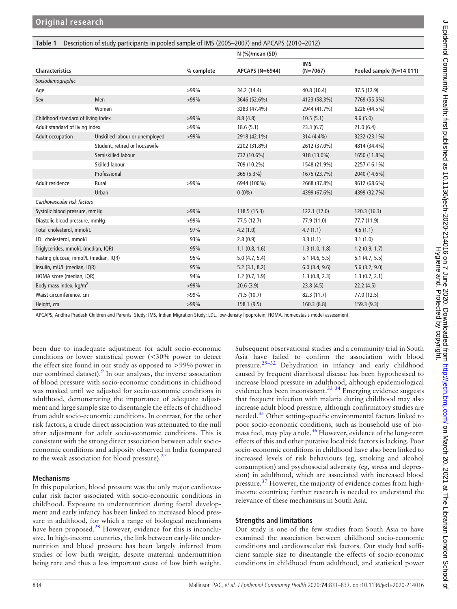<span id="page-3-0"></span>

|  |  |  |  |  | Table 1 Description of study participants in pooled sample of IMS (2005-2007) and APCAPS (2010-2012) |
|--|--|--|--|--|------------------------------------------------------------------------------------------------------|
|--|--|--|--|--|------------------------------------------------------------------------------------------------------|

|                                       |                                |            | $N$ (%)/mean (SD)          |                          |                          |  |  |
|---------------------------------------|--------------------------------|------------|----------------------------|--------------------------|--------------------------|--|--|
| <b>Characteristics</b>                |                                | % complete | <b>APCAPS (N=6944)</b>     | <b>IMS</b><br>$(N=7067)$ | Pooled sample (N=14 011) |  |  |
| Sociodemographic                      |                                |            |                            |                          |                          |  |  |
| Age                                   |                                | $>99\%$    | 34.2 (14.4)<br>40.8 (10.4) |                          | 37.5 (12.9)              |  |  |
| Sex                                   | Men                            | $>99\%$    | 3646 (52.6%)               | 4123 (58.3%)             | 7769 (55.5%)             |  |  |
|                                       | Women                          |            | 3283 (47.4%)               | 2944 (41.7%)             | 6226 (44.5%)             |  |  |
| Childhood standard of living index    |                                | $>99\%$    | 8.8(4.8)                   | 10.5(5.1)                | 9.6(5.0)                 |  |  |
| Adult standard of living index        |                                | $>99\%$    | 18.6(5.1)                  | 23.3(6.7)                | 21.0(6.4)                |  |  |
| Adult occupation                      | Unskilled labour or unemployed | $>99\%$    | 2918 (42.1%)               | 314 (4.4%)               | 3232 (23.1%)             |  |  |
|                                       | Student, retired or housewife  |            | 2202 (31.8%)               | 2612 (37.0%)             | 4814 (34.4%)             |  |  |
|                                       | Semiskilled labour             |            | 732 (10.6%)                | 918 (13.0%)              | 1650 (11.8%)             |  |  |
|                                       | Skilled labour                 |            | 709 (10.2%)                | 1548 (21.9%)             | 2257 (16.1%)             |  |  |
|                                       | Professional                   |            | 365 (5.3%)                 | 1675 (23.7%)             | 2040 (14.6%)             |  |  |
| Adult residence                       | Rural                          | $>99\%$    | 6944 (100%)                | 2668 (37.8%)             | 9612 (68.6%)             |  |  |
|                                       | Urban                          |            | $0(0\%)$                   | 4399 (67.6%)             | 4399 (32.7%)             |  |  |
| Cardiovascular risk factors           |                                |            |                            |                          |                          |  |  |
| Systolic blood pressure, mmHq         |                                | $>99\%$    | 118.5(15.3)                | 122.1(17.0)              | 120.3(16.3)              |  |  |
| Diastolic blood pressure, mmHq        |                                | $>99\%$    | 77.5(12.7)                 | 77.9 (11.0)              | 77.7 (11.9)              |  |  |
| Total cholesterol, mmol/L             |                                | 97%        | 4.2(1.0)                   | 4.7(1.1)                 | 4.5(1.1)                 |  |  |
| LDL cholesterol, mmol/L               |                                | 93%        | 2.8(0.9)                   | 3.3(1.1)                 | 3.1(1.0)                 |  |  |
| Triglycerides, mmol/L (median, IQR)   |                                | 95%        | 1.1(0.8, 1.6)              | 1.3(1.0, 1.8)            | 1.2(0.9, 1.7)            |  |  |
| Fasting glucose, mmol/L (median, IQR) |                                | 95%        | 5.0(4.7, 5.4)              | $5.1$ (4.6, 5.5)         | 5.1(4.7, 5.5)            |  |  |
| Insulin, mU/L (median, IQR)           |                                | 95%        | 5.2(3.1, 8.2)              | $6.0$ $(3.4, 9.6)$       | 5.6(3.2, 9.0)            |  |  |
| HOMA score (median, IQR)              |                                | 94%        | 1.2(0.7, 1.9)              | 1.3(0.8, 2.3)            | 1.3(0.7, 2.1)            |  |  |
| Body mass index, kg/m <sup>2</sup>    |                                | $>99\%$    | 20.6(3.9)                  | 23.8(4.5)                | 22.2(4.5)                |  |  |
| Waist circumference, cm               |                                | $>99\%$    | 71.5(10.7)                 | 82.3 (11.7)              | 77.0 (12.5)              |  |  |
| Height, cm                            |                                | $>99\%$    | 158.1(9.5)                 | 160.3(8.8)               | 159.3(9.3)               |  |  |

APCAPS, Andhra Pradesh Children and Parents' Study; IMS, Indian Migration Study; LDL, low-density lipoprotein; HOMA, homeostasis model assessment.

been due to inadequate adjustment for adult socio-economic conditions or lower statistical power (<30% power to detect the effect size found in our study as opposed to >99% power in our combined dataset).<sup>[9](#page-5-6)</sup> In our analyses, the inverse association of blood pressure with socio-economic conditions in childhood was masked until we adjusted for socio-economic conditions in adulthood, demonstrating the importance of adequate adjustment and large sample size to disentangle the effects of childhood from adult socio-economic conditions. In contrast, for the other risk factors, a crude direct association was attenuated to the null after adjustment for adult socio-economic conditions. This is consistent with the strong direct association between adult socioeconomic conditions and adiposity observed in India (compared to the weak association for blood pressure).<sup>[27](#page-5-19)</sup>

## Mechanisms

In this population, blood pressure was the only major cardiovascular risk factor associated with socio-economic conditions in childhood. Exposure to undernutrition during foetal development and early infancy has been linked to increased blood pressure in adulthood, for which a range of biological mechanisms have been proposed.<sup>28</sup> However, evidence for this is inconclusive. In high-income countries, the link between early-life undernutrition and blood pressure has been largely inferred from studies of low birth weight, despite maternal undernutrition being rare and thus a less important cause of low birth weight.

Subsequent observational studies and a community trial in South Asia have failed to confirm the association with blood pressure.[29](#page-5-21)–<sup>32</sup> Dehydration in infancy and early childhood caused by frequent diarrhoeal disease has been hypothesised to increase blood pressure in adulthood, although epidemiological evidence has been inconsistent.<sup>[33 34](#page-6-0)</sup> Emerging evidence suggests that frequent infection with malaria during childhood may also increase adult blood pressure, although confirmatory studies are needed.[35](#page-6-1) Other setting-specific environmental factors linked to poor socio-economic conditions, such as household use of bio-mass fuel, may play a role.<sup>[36](#page-6-2)</sup> However, evidence of the long-term effects of this and other putative local risk factors is lacking. Poor socio-economic conditions in childhood have also been linked to increased levels of risk behaviours (eg, smoking and alcohol consumption) and psychosocial adversity (eg, stress and depression) in adulthood, which are associated with increased blood pressure.<sup>[37](#page-6-3)</sup> However, the majority of evidence comes from highincome countries; further research is needed to understand the relevance of these mechanisms in South Asia.

## Strengths and limitations

Our study is one of the few studies from South Asia to have examined the association between childhood socio-economic conditions and cardiovascular risk factors. Our study had sufficient sample size to disentangle the effects of socio-economic conditions in childhood from adulthood, and statistical power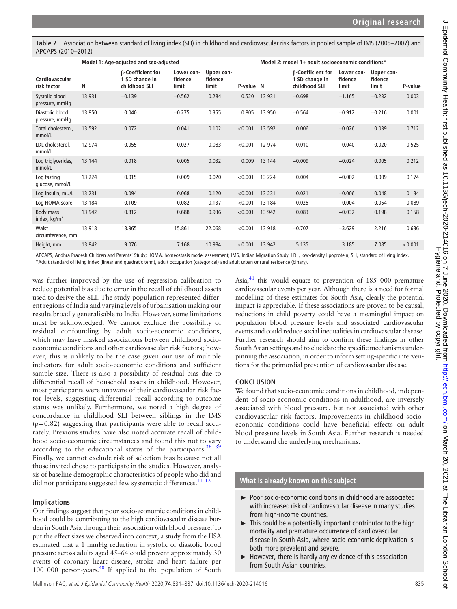<span id="page-4-0"></span>Table 2 Association between standard of living index (SLI) in childhood and cardiovascular risk factors in pooled sample of IMS (2005–2007) and APCAPS (2010–2012)

|                                   | Model 1: Age-adjusted and sex-adjusted |                                                      |                                |                                | Model 2: model 1+ adult socioeconomic conditions* |          |                                                             |                                |                                |         |
|-----------------------------------|----------------------------------------|------------------------------------------------------|--------------------------------|--------------------------------|---------------------------------------------------|----------|-------------------------------------------------------------|--------------------------------|--------------------------------|---------|
| Cardiovascular<br>risk factor     | Ν                                      | β-Coefficient for<br>1 SD change in<br>childhood SLI | Lower con-<br>fidence<br>limit | Upper con-<br>fidence<br>limit | P-value N                                         |          | <b>β-Coefficient for</b><br>1 SD change in<br>childhood SLI | Lower con-<br>fidence<br>limit | Upper con-<br>fidence<br>limit | P-value |
| Systolic blood<br>pressure, mmHq  | 13 9 31                                | $-0.139$                                             | $-0.562$                       | 0.284                          | 0.520                                             | 13 9 31  | $-0.698$                                                    | $-1.165$                       | $-0.232$                       | 0.003   |
| Diastolic blood<br>pressure, mmHq | 13 950                                 | 0.040                                                | $-0.275$                       | 0.355                          | 0.805                                             | 13 950   | $-0.564$                                                    | $-0.912$                       | $-0.216$                       | 0.001   |
| Total cholesterol,<br>mmol/L      | 13 5 92                                | 0.072                                                | 0.041                          | 0.102                          | < 0.001                                           | 13 5 92  | 0.006                                                       | $-0.026$                       | 0.039                          | 0.712   |
| LDL cholesterol,<br>mmol/L        | 12 974                                 | 0.055                                                | 0.027                          | 0.083                          | < 0.001                                           | 12 974   | $-0.010$                                                    | $-0.040$                       | 0.020                          | 0.525   |
| Log triglycerides,<br>mmol/L      | 13 144                                 | 0.018                                                | 0.005                          | 0.032                          | 0.009                                             | 13 144   | $-0.009$                                                    | $-0.024$                       | 0.005                          | 0.212   |
| Log fasting<br>glucose, mmol/L    | 13 2 2 4                               | 0.015                                                | 0.009                          | 0.020                          | < 0.001                                           | 13 2 2 4 | 0.004                                                       | $-0.002$                       | 0.009                          | 0.174   |
| Log insulin, mU/L                 | 13 2 31                                | 0.094                                                | 0.068                          | 0.120                          | < 0.001                                           | 13 2 31  | 0.021                                                       | $-0.006$                       | 0.048                          | 0.134   |
| Log HOMA score                    | 13 184                                 | 0.109                                                | 0.082                          | 0.137                          | < 0.001                                           | 13 184   | 0.025                                                       | $-0.004$                       | 0.054                          | 0.089   |
| Body mass<br>index, $kg/m2$       | 13 942                                 | 0.812                                                | 0.688                          | 0.936                          | < 0.001                                           | 13 942   | 0.083                                                       | $-0.032$                       | 0.198                          | 0.158   |
| Waist<br>circumference, mm        | 13 918                                 | 18.965                                               | 15.861                         | 22.068                         | < 0.001                                           | 13 918   | $-0.707$                                                    | $-3.629$                       | 2.216                          | 0.636   |
| Height, mm                        | 13 942                                 | 9.076                                                | 7.168                          | 10.984                         | < 0.001                                           | 13 942   | 5.135                                                       | 3.185                          | 7.085                          | < 0.001 |

APCAPS, Andhra Pradesh Children and Parents' Study; HOMA, homeostasis model assessment; IMS, Indian Migration Study; LDL, low-density lipoprotein; SLI, standard of living index. \*Adult standard of living index (linear and quadratic term), adult occupation (categorical) and adult urban or rural residence (binary).

was further improved by the use of regression calibration to reduce potential bias due to error in the recall of childhood assets used to derive the SLI. The study population represented different regions of India and varying levels of urbanisation making our results broadly generalisable to India. However, some limitations must be acknowledged. We cannot exclude the possibility of residual confounding by adult socio-economic conditions, which may have masked associations between childhood socioeconomic conditions and other cardiovascular risk factors; however, this is unlikely to be the case given our use of multiple indicators for adult socio-economic conditions and sufficient sample size. There is also a possibility of residual bias due to differential recall of household assets in childhood. However, most participants were unaware of their cardiovascular risk factor levels, suggesting differential recall according to outcome status was unlikely. Furthermore, we noted a high degree of concordance in childhood SLI between siblings in the IMS  $(p=0.82)$  suggesting that participants were able to recall accurately. Previous studies have also noted accurate recall of childhood socio-economic circumstances and found this not to vary according to the educational status of the participants.<sup>38</sup> <sup>39</sup> Finally, we cannot exclude risk of selection bias because not all those invited chose to participate in the studies. However, analysis of baseline demographic characteristics of people who did and did not participate suggested few systematic differences.<sup>[11 12](#page-5-7)</sup>

# Implications

Our findings suggest that poor socio-economic conditions in childhood could be contributing to the high cardiovascular disease burden in South Asia through their association with blood pressure. To put the effect sizes we observed into context, a study from the USA estimated that a 1 mmHg reduction in systolic or diastolic blood pressure across adults aged 45–64 could prevent approximately 30 events of coronary heart disease, stroke and heart failure per 100 000 person-years.<sup>40</sup> If applied to the population of South

Asia,<sup>[41](#page-6-6)</sup> this would equate to prevention of 185 000 premature cardiovascular events per year. Although there is a need for formal modelling of these estimates for South Asia, clearly the potential impact is appreciable. If these associations are proven to be causal, reductions in child poverty could have a meaningful impact on population blood pressure levels and associated cardiovascular events and could reduce social inequalities in cardiovascular disease. Further research should aim to confirm these findings in other South Asian settings and to elucidate the specific mechanisms underpinning the association, in order to inform setting-specific interventions for the primordial prevention of cardiovascular disease.

# **CONCLUSION**

We found that socio-economic conditions in childhood, independent of socio-economic conditions in adulthood, are inversely associated with blood pressure, but not associated with other cardiovascular risk factors. Improvements in childhood socioeconomic conditions could have beneficial effects on adult blood pressure levels in South Asia. Further research is needed to understand the underlying mechanisms.

# What is already known on this subject

- ► Poor socio-economic conditions in childhood are associated with increased risk of cardiovascular disease in many studies from high-income countries.
- ► This could be a potentially important contributor to the high mortality and premature occurrence of cardiovascular disease in South Asia, where socio-economic deprivation is both more prevalent and severe.
- $\blacktriangleright$  However, there is hardly any evidence of this association from South Asian countries.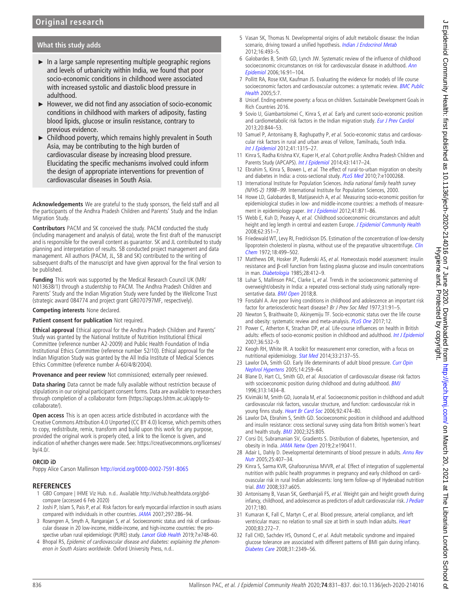## What this study adds

- $\blacktriangleright$  In a large sample representing multiple geographic regions and levels of urbanicity within India, we found that poor socio-economic conditions in childhood were associated with increased systolic and diastolic blood pressure in adulthood.
- ► However, we did not find any association of socio-economic conditions in childhood with markers of adiposity, fasting blood lipids, glucose or insulin resistance, contrary to previous evidence.
- ► Childhood poverty, which remains highly prevalent in South Asia, may be contributing to the high burden of cardiovascular disease by increasing blood pressure. Elucidating the specific mechanisms involved could inform the design of appropriate interventions for prevention of cardiovascular diseases in South Asia.

Acknowledgements We are grateful to the study sponsors, the field staff and all the participants of the Andhra Pradesh Children and Parents' Study and the Indian Migration Study.

Contributors PACM and SK conceived the study. PACM conducted the study (including management and analysis of data), wrote the first draft of the manuscript and is responsible for the overall content as guarantor. SK and JL contributed to study planning and interpretation of results. SB conducted project management and data management. All authors (PACM, JL, SB and SK) contributed to the writing of subsequent drafts of the manuscript and have given approval for the final version to be published.

Funding This work was supported by the Medical Research Council UK (MR/ N013638/1) through a studentship to PACM. The Andhra Pradesh Children and Parents' Study and the Indian Migration Study were funded by the Wellcome Trust (strategic award 084774 and project grant GR070797MF, respectively).

#### Competing interests None declared.

#### Patient consent for publication Not required.

Ethical approval Ethical approval for the Andhra Pradesh Children and Parents' Study was granted by the National Institute of Nutrition Institutional Ethical Committee (reference number A2-2009) and Public Health Foundation of India Institutional Ethics Committee (reference number 52/10). Ethical approval for the Indian Migration Study was granted by the All India Institute of Medical Sciences Ethics Committee (reference number A-60/4/8/2004).

Provenance and peer review Not commissioned; externally peer reviewed.

Data sharing Data cannot be made fully available without restriction because of stipulations in our original participant consent forms. Data are available to researchers through completion of a collaborator form ([https://apcaps.lshtm.ac.uk/apply-to](https://apcaps.lshtm.ac.uk/apply-to-collaborate/)[collaborate/\)](https://apcaps.lshtm.ac.uk/apply-to-collaborate/).

Open access This is an open access article distributed in accordance with the Creative Commons Attribution 4.0 Unported (CC BY 4.0) license, which permits others to copy, redistribute, remix, transform and build upon this work for any purpose, provided the original work is properly cited, a link to the licence is given, and indication of whether changes were made. See: [https://creativecommons.org/licenses/](https://creativecommons.org/licenses/by/4.0/) [by/4.0/.](https://creativecommons.org/licenses/by/4.0/)

#### ORCID iD

Poppy Alice Carson Mallinson <http://orcid.org/0000-0002-7591-8065>

- <span id="page-5-0"></span>1 GBD Compare | IHME Viz Hub. n.d.. Available [http://vizhub.healthdata.org/gbd](http://vizhub.healthdata.org/gbd-compare)[compare](http://vizhub.healthdata.org/gbd-compare) (accessed 6 Feb 2020)
- <span id="page-5-1"></span>2 Joshi P, Islam S, Pais P, et al. Risk factors for early myocardial infarction in south asians compared with individuals in other countries. [JAMA](https://dx.doi.org/10.1001/jama.297.3.286) 2007;297:286–94.
- <span id="page-5-14"></span>3 Rosengren A, Smyth A, Rangarajan S, et al. Socioeconomic status and risk of cardiovascular disease in 20 low-income, middle-income, and high-income countries: the pro-spective urban rural epidemiologic (PURE) study. [Lancet Glob Health](https://dx.doi.org/10.1016/S2214-109X(19)30045-2) 2019;7:e748-60.
- <span id="page-5-2"></span>4 Bhopal RS, Epidemic of cardiovascular disease and diabetes: explaining the phenomenon in South Asians worldwide. Oxford University Press, n.d..
- <span id="page-5-3"></span>5 Vasan SK, Thomas N. Developmental origins of adult metabolic disease: the Indian scenario, driving toward a unified hypothesis. [Indian J Endocrinol Metab](https://dx.doi.org/10.4103/2230-8210.97990) 2012;16:493–5.
- <span id="page-5-4"></span>6 Galobardes B, Smith GD, Lynch JW. Systematic review of the influence of childhood socioeconomic circumstances on risk for cardiovascular disease in adulthood. [Ann](https://dx.doi.org/10.1016/j.annepidem.2005.06.053) [Epidemiol](https://dx.doi.org/10.1016/j.annepidem.2005.06.053) 2006;16:91–104.
- <span id="page-5-17"></span>7 Pollitt RA, Rose KM, Kaufman JS. Evaluating the evidence for models of life course socioeconomic factors and cardiovascular outcomes: a systematic review. **[BMC Public](https://dx.doi.org/10.1186/1471-2458-5-7)**  $Health 2005:5:7$  $Health 2005:5:7$
- <span id="page-5-5"></span>8 Unicef. Ending extreme poverty: a focus on children. Sustainable Development Goals in Rich Countries 2016.
- <span id="page-5-6"></span>9 Sovio U, Giambartolomei C, Kinra S, et al. Early and current socio-economic position and cardiometabolic risk factors in the Indian migration study. [Eur J Prev Cardiol](https://dx.doi.org/10.1177/2047487312446136) 2013;20:844–53.
- <span id="page-5-18"></span>10 Samuel P, Antonisamy B, Raghupathy P, et al. Socio-economic status and cardiovascular risk factors in rural and urban areas of Vellore, Tamilnadu, South India. [Int J Epidemiol](https://dx.doi.org/10.1093/ije/dys001) 2012;41:1315–27.
- <span id="page-5-7"></span>11 Kinra S, Radha Krishna KV, Kuper H, et al. Cohort profile: Andhra Pradesh Children and Parents Study (APCAPS). [Int J Epidemiol](https://dx.doi.org/10.1093/ije/dyt128) 2014;43:1417-24.
- <span id="page-5-8"></span>12 Ebrahim S, Kinra S, Bowen L, et al. The effect of rural-to-urban migration on obesity and diabetes in India: a cross-sectional study. [PLoS Med](https://dx.doi.org/10.1371/journal.pmed.1000268) 2010;7:e1000268.
- <span id="page-5-9"></span>13 International Institute for Population Sciences. India national family health survey (NFHS-2) 1998−99. International Institute for Population Sciences, 2000.
- <span id="page-5-10"></span>14 Howe LD, Galobardes B, Matijasevich A, et al. Measuring socio-economic position for epidemiological studies in low- and middle-income countries: a methods of measure-ment in epidemiology paper. [Int J Epidemiol](https://dx.doi.org/10.1093/ije/dys037) 2012;41:871-86.
- <span id="page-5-11"></span>15 Webb E, Kuh D, Peasey A, et al. Childhood socioeconomic circumstances and adult height and leg length in central and eastern Europe. [J Epidemiol Community Health](https://dx.doi.org/10.1136/jech.2006.056457) 2008;62:351–7.
- <span id="page-5-12"></span>16 Friedewald WT, Levy RI, Fredrickson DS. Estimation of the concentration of low-density lipoprotein cholesterol in plasma, without use of the preparative ultracentrifuge. [Clin](https://dx.doi.org/10.1093/clinchem/18.6.499) [Chem](https://dx.doi.org/10.1093/clinchem/18.6.499) 1972;18:499–502.
- <span id="page-5-13"></span>17 Matthews DR, Hosker JP, Rudenski AS, et al. Homeostasis model assessment: insulin resistance and β-cell function from fasting plasma glucose and insulin concentrations in man. [Diabetologia](https://dx.doi.org/10.1007/BF00280883) 1985;28:412–9.
- 18 Luhar S, Mallinson PAC, Clarke L, et al. Trends in the socioeconomic patterning of overweight/obesity in India: a repeated cross-sectional study using nationally representative data. **[BMJ Open](https://dx.doi.org/10.1136/bmjopen-2018-023935)** 2018;8.
- <span id="page-5-15"></span>19 Forsdahl A. Are poor living conditions in childhood and adolescence an important risk factor for arteriosclerotic heart disease? Br J Prev Soc Med 1977;31:91–5.
- 20 Newton S, Braithwaite D, Akinyemiju TF. Socio-economic status over the life course and obesity: systematic review and meta-analysis. [PLoS One](https://dx.doi.org/10.1371/journal.pone.0177151) 2017;12.
- 21 Power C, Atherton K, Strachan DP, et al. Life-course influences on health in British adults: effects of socio-economic position in childhood and adulthood. [Int J Epidemiol](https://dx.doi.org/10.1093/ije/dyl310) 2007;36:532–9.
- <span id="page-5-16"></span>22 Keogh RH, White IR. A toolkit for measurement error correction, with a focus on nutritional epidemiology. [Stat Med](https://dx.doi.org/10.1002/sim.6095) 2014;33:2137–55.
- 23 Lawlor DA, Smith GD. Early life determinants of adult blood pressure. [Curr Opin](https://dx.doi.org/10.1097/01.mnh.0000165893.13620.2b) [Nephrol Hypertens](https://dx.doi.org/10.1097/01.mnh.0000165893.13620.2b) 2005;14:259–64.
- 24 Blane D, Hart CL, Smith GD, et al. Association of cardiovascular disease risk factors with socioeconomic position during childhood and during adulthood. **[BMJ](https://dx.doi.org/10.1136/bmj.313.7070.1434)** 1996;313:1434–8.
- 25 Kivimäki M, Smith GD, Juonala M, et al. Socioeconomic position in childhood and adult cardiovascular risk factors, vascular structure, and function: cardiovascular risk in young finns study. [Heart Br Card Soc](https://dx.doi.org/10.1136/hrt.2005.067108) 2006;92:474-80.
- 26 Lawlor DA, Ebrahim S, Smith GD. Socioeconomic position in childhood and adulthood and insulin resistance: cross sectional survey using data from British women's heart and health study. **[BMJ](https://dx.doi.org/10.1136/bmj.325.7368.805)** 2002;325:805.
- <span id="page-5-19"></span>27 Corsi DJ, Subramanian SV, Gradients S. Distribution of diabetes, hypertension, and obesity in India. [JAMA Netw Open](https://dx.doi.org/10.1001/jamanetworkopen.2019.0411) 2019;2:e190411.
- <span id="page-5-20"></span>28 Adair L, Dahly D. Developmental determinants of blood pressure in adults. [Annu Rev](https://dx.doi.org/10.1146/annurev.nutr.25.050304.092538) [Nutr](https://dx.doi.org/10.1146/annurev.nutr.25.050304.092538) 2005;25:407–34.
- <span id="page-5-21"></span>29 Kinra S, Sarma KVR, Ghafoorunissa MVVR, et al. Effect of integration of supplemental nutrition with public health programmes in pregnancy and early childhood on cardiovascular risk in rural Indian adolescents: long term follow-up of Hyderabad nutrition trial. **[BMJ](https://dx.doi.org/10.1136/bmj.a605)** 2008;337:a605.
- 30 Antonisamy B, Vasan SK, Geethanjali FS, et al. Weight gain and height growth during infancy, childhood, and adolescence as predictors of adult cardiovascular risk. [J Pediatr](https://dx.doi.org/10.1016/j.jpeds.2016.09.059) 2017;180.
- 31 Kumaran K, Fall C, Martyn C, et al. Blood pressure, arterial compliance, and left ventricular mass: no relation to small size at birth in south Indian adults. [Heart](https://dx.doi.org/10.1136/heart.83.3.272) 2000;83:272–7.
- 32 Fall CHD, Sachdev HS, Osmond C, et al. Adult metabolic syndrome and impaired glucose tolerance are associated with different patterns of BMI gain during infancy. [Diabetes Care](https://dx.doi.org/10.2337/dc08-0911) 2008;31:2349–56.